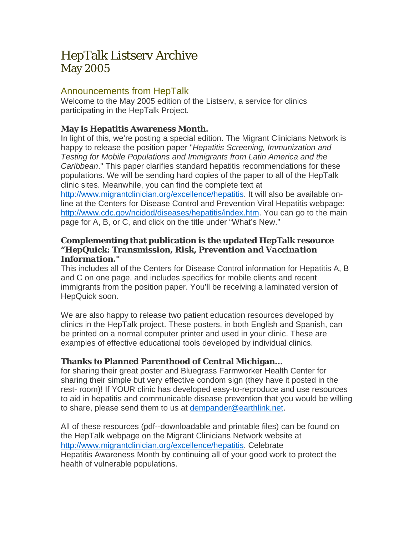# HepTalk Listserv Archive May 2005

## Announcements from HepTalk

Welcome to the May 2005 edition of the Listserv, a service for clinics participating in the HepTalk Project.

## **May is Hepatitis Awareness Month.**

In light of this, we're posting a special edition. The Migrant Clinicians Network is happy to release the position paper "*Hepatitis Screening, Immunization and Testing for Mobile Populations and Immigrants from Latin America and the Caribbean*." This paper clarifies standard hepatitis recommendations for these populations. We will be sending hard copies of the paper to all of the HepTalk clinic sites. Meanwhile, you can find the complete text at

<http://www.migrantclinician.org/excellence/hepatitis>. It will also be available online at the Centers for Disease Control and Prevention Viral Hepatitis webpage: <http://www.cdc.gov/ncidod/diseases/hepatitis/index.htm>. You can go to the main page for A, B, or C, and click on the title under "What's New."

#### **Complementing that publication is the updated HepTalk resource "***HepQuick: Transmission, Risk, Prevention and Vaccination Information***."**

This includes all of the Centers for Disease Control information for Hepatitis A, B and C on one page, and includes specifics for mobile clients and recent immigrants from the position paper. You'll be receiving a laminated version of HepQuick soon.

We are also happy to release two patient education resources developed by clinics in the HepTalk project. These posters, in both English and Spanish, can be printed on a normal computer printer and used in your clinic. These are examples of effective educational tools developed by individual clinics.

## **Thanks to Planned Parenthood of Central Michigan...**

for sharing their great poster and Bluegrass Farmworker Health Center for sharing their simple but very effective condom sign (they have it posted in the rest- room)! If YOUR clinic has developed easy-to-reproduce and use resources to aid in hepatitis and communicable disease prevention that you would be willing to share, please send them to us at [dempander@earthlink.net](mailto:dempander@earthlink.net).

All of these resources (pdf--downloadable and printable files) can be found on the HepTalk webpage on the Migrant Clinicians Network website at <http://www.migrantclinician.org/excellence/hepatitis>. Celebrate Hepatitis Awareness Month by continuing all of your good work to protect the health of vulnerable populations.